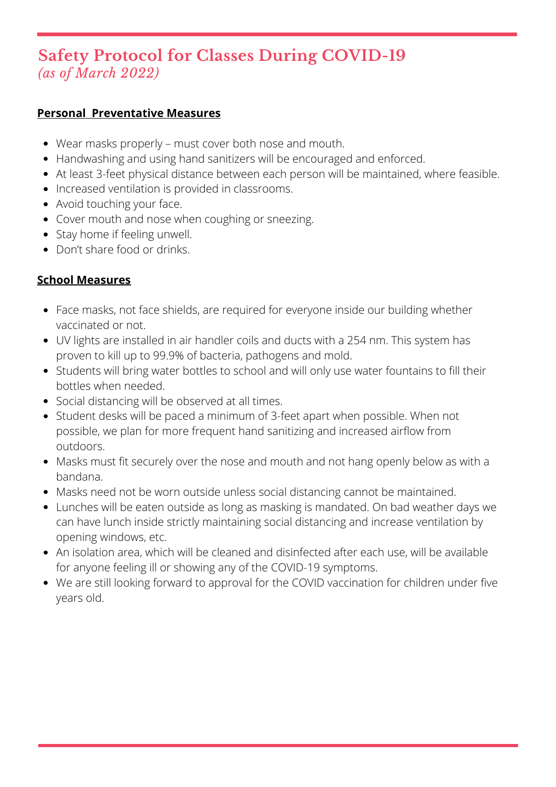# **Safety Protocol for Classes During COVID-19** *(as of March 2022)*

## **Personal Preventative Measures**

- Wear masks properly must cover both nose and mouth.
- Handwashing and using hand sanitizers will be encouraged and enforced.
- At least 3-feet physical distance between each person will be maintained, where feasible.
- Increased ventilation is provided in classrooms.
- Avoid touching your face.
- Cover mouth and nose when coughing or sneezing.
- Stay home if feeling unwell.
- Don't share food or drinks.

# **School Measures**

- Face masks, not face shields, are required for everyone inside our building whether vaccinated or not.
- UV lights are installed in air handler coils and ducts with a 254 nm. This system has proven to kill up to 99.9% of bacteria, pathogens and mold.
- Students will bring water bottles to school and will only use water fountains to fill their bottles when needed.
- Social distancing will be observed at all times.
- Student desks will be paced a minimum of 3-feet apart when possible. When not possible, we plan for more frequent hand sanitizing and increased airflow from outdoors.
- Masks must fit securely over the nose and mouth and not hang openly below as with a bandana.
- Masks need not be worn outside unless social distancing cannot be maintained.
- Lunches will be eaten outside as long as masking is mandated. On bad weather days we can have lunch inside strictly maintaining social distancing and increase ventilation by opening windows, etc.
- An isolation area, which will be cleaned and disinfected after each use, will be available for anyone feeling ill or showing any of the COVID-19 symptoms.
- We are still looking forward to approval for the COVID vaccination for children under five years old.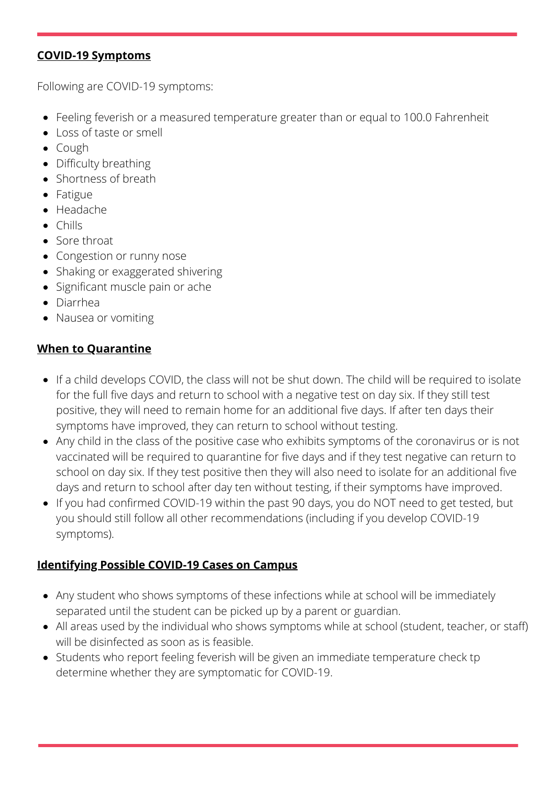#### **COVID-19 Symptoms**

Following are COVID-19 symptoms:

- Feeling feverish or a measured temperature greater than or equal to 100.0 Fahrenheit
- Loss of taste or smell
- Cough
- Difficulty breathing
- Shortness of breath
- Fatigue
- Headache
- $\bullet$  Chills
- Sore throat
- Congestion or runny nose
- Shaking or exaggerated shivering
- Significant muscle pain or ache
- Diarrhea
- Nausea or vomiting

## **When to Quarantine**

- If a child develops COVID, the class will not be shut down. The child will be required to isolate for the full five days and return to school with a negative test on day six. If they still test positive, they will need to remain home for an additional five days. If after ten days their symptoms have improved, they can return to school without testing.
- Any child in the class of the positive case who exhibits symptoms of the coronavirus or is not vaccinated will be required to quarantine for five days and if they test negative can return to school on day six. If they test positive then they will also need to isolate for an additional five days and return to school after day ten without testing, if their symptoms have improved.
- If you had confirmed COVID-19 within the past 90 days, you do NOT need to get tested, but you should still follow all other recommendations (including if you develop COVID-19 symptoms).

#### **Identifying Possible COVID-19 Cases on Campus**

- Any student who shows symptoms of these infections while at school will be immediately separated until the student can be picked up by a parent or guardian.
- All areas used by the individual who shows symptoms while at school (student, teacher, or staff) will be disinfected as soon as is feasible.
- Students who report feeling feverish will be given an immediate temperature check tp determine whether they are symptomatic for COVID-19.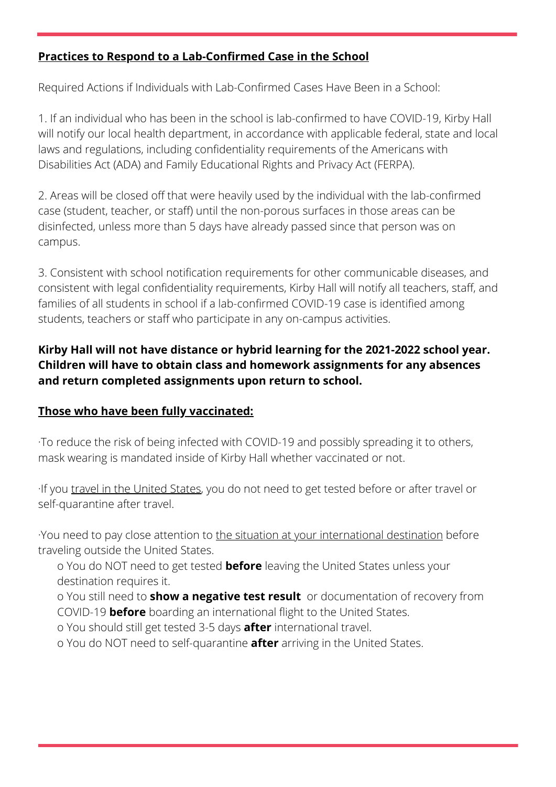# **Practices to Respond to a Lab-Confirmed Case in the School**

Required Actions if Individuals with Lab-Confirmed Cases Have Been in a School:

1. If an individual who has been in the school is lab-confirmed to have COVID-19, Kirby Hall will notify our local health department, in accordance with applicable federal, state and local laws and regulations, including confidentiality requirements of the Americans with Disabilities Act (ADA) and Family Educational Rights and Privacy Act (FERPA).

2. Areas will be closed off that were heavily used by the individual with the lab-confirmed case (student, teacher, or staff) until the non-porous surfaces in those areas can be disinfected, unless more than 5 days have already passed since that person was on campus.

3. Consistent with school notification requirements for other communicable diseases, and consistent with legal confidentiality requirements, Kirby Hall will notify all teachers, staff, and families of all students in school if a lab-confirmed COVID-19 case is identified among students, teachers or staff who participate in any on-campus activities.

# **Kirby Hall will not have distance or hybrid learning for the 2021-2022 school year. Children will have to obtain class and homework assignments for any absences and return completed assignments upon return to school.**

# **Those who have been fully vaccinated:**

·To reduce the risk of being infected with COVID-19 and possibly spreading it to others, mask wearing is mandated inside of Kirby Hall whether vaccinated or not.

·If you [travel in the United States,](https://www.cdc.gov/coronavirus/2019-ncov/travelers/travel-during-covid19.html) you do not need to get tested before or after travel or self-quarantine after travel.

·You need to pay close attention to [the situation at your international destination](https://www.cdc.gov/coronavirus/2019-ncov/travelers/map-and-travel-notices.html) before traveling outside the United States.

o You do NOT need to get tested **before** leaving the United States unless your destination requires it.

o You still need to **[show a negative test result](https://www.cdc.gov/coronavirus/2019-ncov/travelers/testing-international-air-travelers.html)** or documentation of recovery from COVID-19 **before** boarding an international flight to the United States.

o You should still get tested 3-5 days **after** international travel.

o You do NOT need to self-quarantine **after** arriving in the United States.